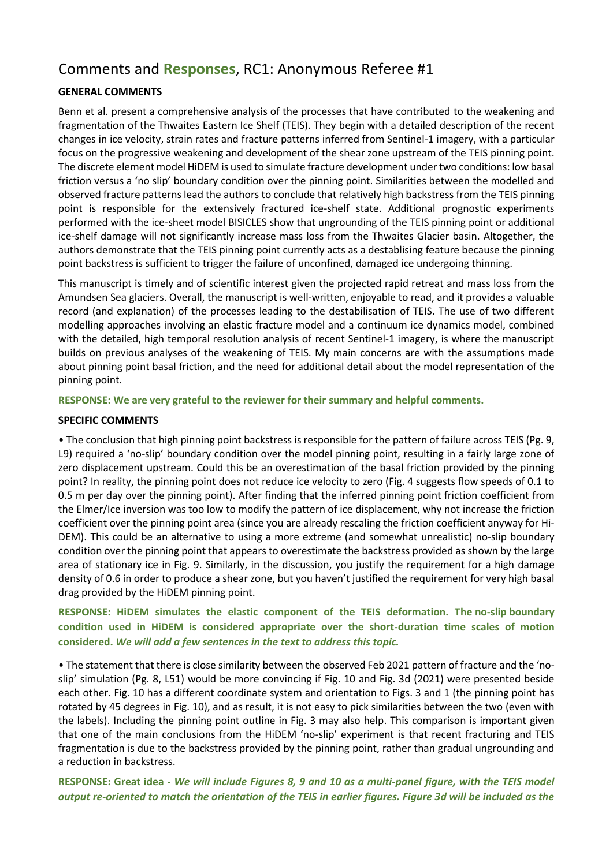# Comments and **Responses**, RC1: Anonymous Referee #1

## **GENERAL COMMENTS**

Benn et al. present a comprehensive analysis of the processes that have contributed to the weakening and fragmentation of the Thwaites Eastern Ice Shelf (TEIS). They begin with a detailed description of the recent changes in ice velocity, strain rates and fracture patterns inferred from Sentinel-1 imagery, with a particular focus on the progressive weakening and development of the shear zone upstream of the TEIS pinning point. The discrete element model HiDEM is used to simulate fracture development under two conditions: low basal friction versus a 'no slip' boundary condition over the pinning point. Similarities between the modelled and observed fracture patterns lead the authors to conclude that relatively high backstress from the TEIS pinning point is responsible for the extensively fractured ice-shelf state. Additional prognostic experiments performed with the ice-sheet model BISICLES show that ungrounding of the TEIS pinning point or additional ice-shelf damage will not significantly increase mass loss from the Thwaites Glacier basin. Altogether, the authors demonstrate that the TEIS pinning point currently acts as a destablising feature because the pinning point backstress is sufficient to trigger the failure of unconfined, damaged ice undergoing thinning.

This manuscript is timely and of scientific interest given the projected rapid retreat and mass loss from the Amundsen Sea glaciers. Overall, the manuscript is well-written, enjoyable to read, and it provides a valuable record (and explanation) of the processes leading to the destabilisation of TEIS. The use of two different modelling approaches involving an elastic fracture model and a continuum ice dynamics model, combined with the detailed, high temporal resolution analysis of recent Sentinel-1 imagery, is where the manuscript builds on previous analyses of the weakening of TEIS. My main concerns are with the assumptions made about pinning point basal friction, and the need for additional detail about the model representation of the pinning point.

**RESPONSE: We are very grateful to the reviewer for their summary and helpful comments.**

### **SPECIFIC COMMENTS**

• The conclusion that high pinning point backstress is responsible for the pattern of failure across TEIS (Pg. 9, L9) required a 'no-slip' boundary condition over the model pinning point, resulting in a fairly large zone of zero displacement upstream. Could this be an overestimation of the basal friction provided by the pinning point? In reality, the pinning point does not reduce ice velocity to zero (Fig. 4 suggests flow speeds of 0.1 to 0.5 m per day over the pinning point). After finding that the inferred pinning point friction coefficient from the Elmer/Ice inversion was too low to modify the pattern of ice displacement, why not increase the friction coefficient over the pinning point area (since you are already rescaling the friction coefficient anyway for Hi-DEM). This could be an alternative to using a more extreme (and somewhat unrealistic) no-slip boundary condition over the pinning point that appears to overestimate the backstress provided as shown by the large area of stationary ice in Fig. 9. Similarly, in the discussion, you justify the requirement for a high damage density of 0.6 in order to produce a shear zone, but you haven't justified the requirement for very high basal drag provided by the HiDEM pinning point.

## **RESPONSE: HiDEM simulates the elastic component of the TEIS deformation. The no-slip boundary condition used in HiDEM is considered appropriate over the short-duration time scales of motion considered.** *We will add a few sentences in the text to address this topic.*

• The statement that there is close similarity between the observed Feb 2021 pattern of fracture and the 'noslip' simulation (Pg. 8, L51) would be more convincing if Fig. 10 and Fig. 3d (2021) were presented beside each other. Fig. 10 has a different coordinate system and orientation to Figs. 3 and 1 (the pinning point has rotated by 45 degrees in Fig. 10), and as result, it is not easy to pick similarities between the two (even with the labels). Including the pinning point outline in Fig. 3 may also help. This comparison is important given that one of the main conclusions from the HiDEM 'no-slip' experiment is that recent fracturing and TEIS fragmentation is due to the backstress provided by the pinning point, rather than gradual ungrounding and a reduction in backstress.

**RESPONSE: Great idea -** *We will include Figures 8, 9 and 10 as a multi-panel figure, with the TEIS model output re-oriented to match the orientation of the TEIS in earlier figures. Figure 3d will be included as the*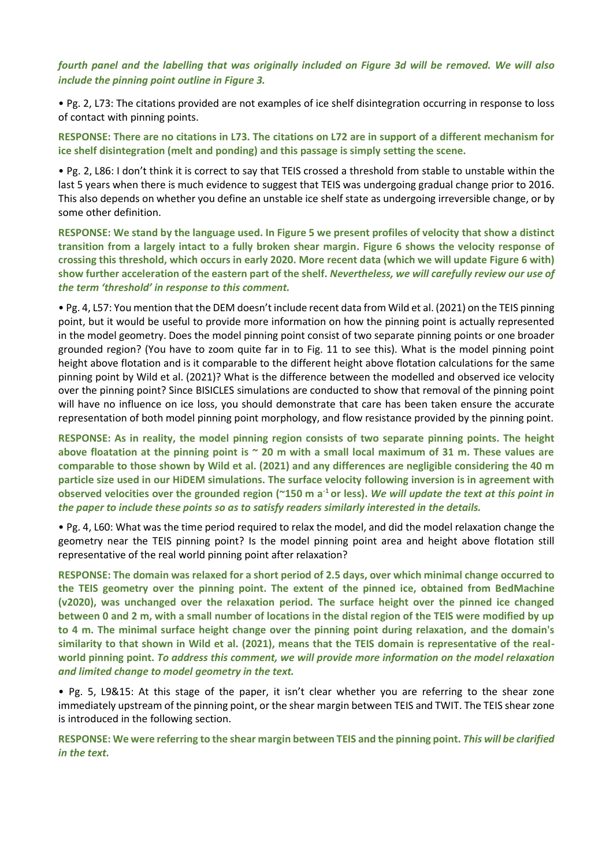## *fourth panel and the labelling that was originally included on Figure 3d will be removed. We will also include the pinning point outline in Figure 3.*

• Pg. 2, L73: The citations provided are not examples of ice shelf disintegration occurring in response to loss of contact with pinning points.

**RESPONSE: There are no citations in L73. The citations on L72 are in support of a different mechanism for ice shelf disintegration (melt and ponding) and this passage is simply setting the scene.**

• Pg. 2, L86: I don't think it is correct to say that TEIS crossed a threshold from stable to unstable within the last 5 years when there is much evidence to suggest that TEIS was undergoing gradual change prior to 2016. This also depends on whether you define an unstable ice shelf state as undergoing irreversible change, or by some other definition.

**RESPONSE: We stand by the language used. In Figure 5 we present profiles of velocity that show a distinct transition from a largely intact to a fully broken shear margin. Figure 6 shows the velocity response of crossing this threshold, which occurs in early 2020. More recent data (which we will update Figure 6 with) show further acceleration of the eastern part of the shelf.** *Nevertheless, we will carefully review our use of the term 'threshold' in response to this comment.*

• Pg. 4, L57: You mention that the DEM doesn't include recent data from Wild et al. (2021) on the TEIS pinning point, but it would be useful to provide more information on how the pinning point is actually represented in the model geometry. Does the model pinning point consist of two separate pinning points or one broader grounded region? (You have to zoom quite far in to Fig. 11 to see this). What is the model pinning point height above flotation and is it comparable to the different height above flotation calculations for the same pinning point by Wild et al. (2021)? What is the difference between the modelled and observed ice velocity over the pinning point? Since BISICLES simulations are conducted to show that removal of the pinning point will have no influence on ice loss, you should demonstrate that care has been taken ensure the accurate representation of both model pinning point morphology, and flow resistance provided by the pinning point.

**RESPONSE: As in reality, the model pinning region consists of two separate pinning points. The height above floatation at the pinning point is ~ 20 m with a small local maximum of 31 m. These values are comparable to those shown by Wild et al. (2021) and any differences are negligible considering the 40 m particle size used in our HiDEM simulations. The surface velocity following inversion is in agreement with observed velocities over the grounded region (~150 m a-1 or less).** *We will update the text at this point in the paper to include these points so as to satisfy readers similarly interested in the details.*

• Pg. 4, L60: What was the time period required to relax the model, and did the model relaxation change the geometry near the TEIS pinning point? Is the model pinning point area and height above flotation still representative of the real world pinning point after relaxation?

**RESPONSE: The domain was relaxed for a short period of 2.5 days, over which minimal change occurred to the TEIS geometry over the pinning point. The extent of the pinned ice, obtained from BedMachine (v2020), was unchanged over the relaxation period. The surface height over the pinned ice changed between 0 and 2 m, with a small number of locations in the distal region of the TEIS were modified by up to 4 m. The minimal surface height change over the pinning point during relaxation, and the domain's similarity to that shown in Wild et al. (2021), means that the TEIS domain is representative of the realworld pinning point.** *To address this comment, we will provide more information on the model relaxation and limited change to model geometry in the text.*

• Pg. 5, L9&15: At this stage of the paper, it isn't clear whether you are referring to the shear zone immediately upstream of the pinning point, or the shear margin between TEIS and TWIT. The TEIS shear zone is introduced in the following section.

**RESPONSE: We were referring to the shear margin between TEIS and the pinning point.** *This will be clarified in the text.*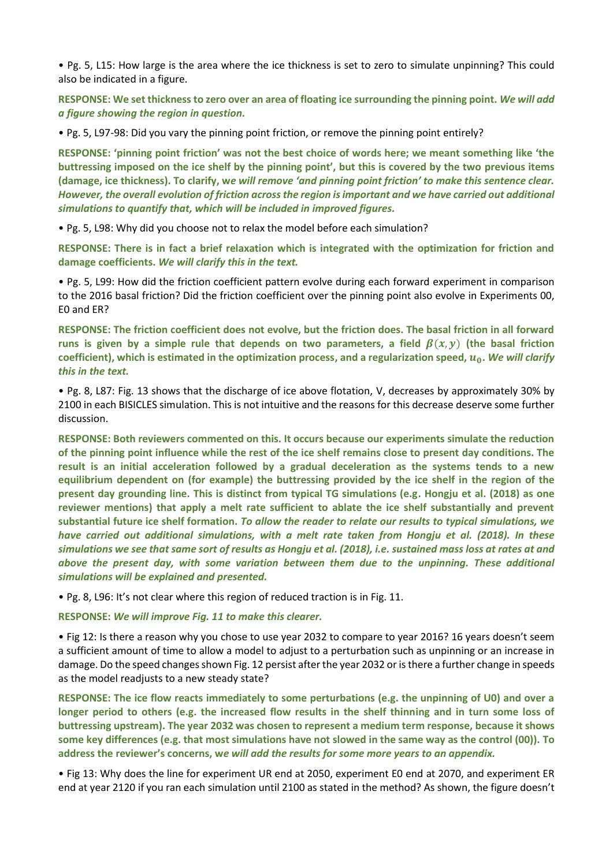• Pg. 5, L15: How large is the area where the ice thickness is set to zero to simulate unpinning? This could also be indicated in a figure.

**RESPONSE: We set thickness to zero over an area of floating ice surrounding the pinning point.** *We will add a figure showing the region in question.*

• Pg. 5, L97-98: Did you vary the pinning point friction, or remove the pinning point entirely?

**RESPONSE: 'pinning point friction' was not the best choice of words here; we meant something like 'the buttressing imposed on the ice shelf by the pinning point', but this is covered by the two previous items (damage, ice thickness). To clarify, w***e will remove 'and pinning point friction' to make this sentence clear. However, the overall evolution of friction across the region is important and we have carried out additional simulations to quantify that, which will be included in improved figures.*

• Pg. 5, L98: Why did you choose not to relax the model before each simulation?

**RESPONSE: There is in fact a brief relaxation which is integrated with the optimization for friction and damage coefficients.** *We will clarify this in the text.*

• Pg. 5, L99: How did the friction coefficient pattern evolve during each forward experiment in comparison to the 2016 basal friction? Did the friction coefficient over the pinning point also evolve in Experiments 00, E0 and ER?

**RESPONSE: The friction coefficient does not evolve, but the friction does. The basal friction in all forward**  runs is given by a simple rule that depends on two parameters, a field  $\beta(x, y)$  (the basal friction coefficient), which is estimated in the optimization process, and a regularization speed,  $u_0$ . We will clarify *this in the text.*

• Pg. 8, L87: Fig. 13 shows that the discharge of ice above flotation, V, decreases by approximately 30% by 2100 in each BISICLES simulation. This is not intuitive and the reasons for this decrease deserve some further discussion.

**RESPONSE: Both reviewers commented on this. It occurs because our experiments simulate the reduction of the pinning point influence while the rest of the ice shelf remains close to present day conditions. The result is an initial acceleration followed by a gradual deceleration as the systems tends to a new equilibrium dependent on (for example) the buttressing provided by the ice shelf in the region of the present day grounding line. This is distinct from typical TG simulations (e.g. Hongju et al. (2018) as one reviewer mentions) that apply a melt rate sufficient to ablate the ice shelf substantially and prevent substantial future ice shelf formation.** *To allow the reader to relate our results to typical simulations, we have carried out additional simulations, with a melt rate taken from Hongju et al. (2018). In these simulations we see that same sort of results as Hongju et al. (2018), i.e. sustained mass loss at rates at and above the present day, with some variation between them due to the unpinning. These additional simulations will be explained and presented.*

• Pg. 8, L96: It's not clear where this region of reduced traction is in Fig. 11.

**RESPONSE:** *We will improve Fig. 11 to make this clearer.*

• Fig 12: Is there a reason why you chose to use year 2032 to compare to year 2016? 16 years doesn't seem a sufficient amount of time to allow a model to adjust to a perturbation such as unpinning or an increase in damage. Do the speed changes shown Fig. 12 persist after the year 2032 or is there a further change in speeds as the model readjusts to a new steady state?

**RESPONSE: The ice flow reacts immediately to some perturbations (e.g. the unpinning of U0) and over a longer period to others (e.g. the increased flow results in the shelf thinning and in turn some loss of buttressing upstream). The year 2032 was chosen to represent a medium term response, because it shows some key differences (e.g. that most simulations have not slowed in the same way as the control (00)). To address the reviewer's concerns, w***e will add the results for some more years to an appendix.*

• Fig 13: Why does the line for experiment UR end at 2050, experiment E0 end at 2070, and experiment ER end at year 2120 if you ran each simulation until 2100 as stated in the method? As shown, the figure doesn't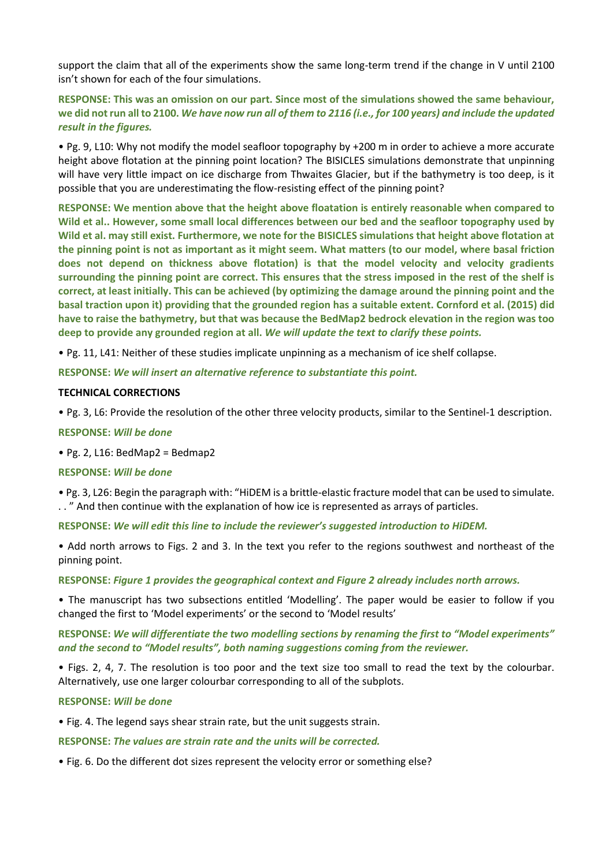support the claim that all of the experiments show the same long-term trend if the change in V until 2100 isn't shown for each of the four simulations.

**RESPONSE: This was an omission on our part. Since most of the simulations showed the same behaviour, we did not run all to 2100.** *We have now run all of them to 2116 (i.e., for 100 years) and include the updated result in the figures.*

• Pg. 9, L10: Why not modify the model seafloor topography by +200 m in order to achieve a more accurate height above flotation at the pinning point location? The BISICLES simulations demonstrate that unpinning will have very little impact on ice discharge from Thwaites Glacier, but if the bathymetry is too deep, is it possible that you are underestimating the flow-resisting effect of the pinning point?

**RESPONSE: We mention above that the height above floatation is entirely reasonable when compared to Wild et al.. However, some small local differences between our bed and the seafloor topography used by Wild et al. may still exist. Furthermore, we note for the BISICLES simulations that height above flotation at the pinning point is not as important as it might seem. What matters (to our model, where basal friction does not depend on thickness above flotation) is that the model velocity and velocity gradients surrounding the pinning point are correct. This ensures that the stress imposed in the rest of the shelf is correct, at least initially. This can be achieved (by optimizing the damage around the pinning point and the basal traction upon it) providing that the grounded region has a suitable extent. Cornford et al. (2015) did have to raise the bathymetry, but that was because the BedMap2 bedrock elevation in the region was too deep to provide any grounded region at all.** *We will update the text to clarify these points.*

• Pg. 11, L41: Neither of these studies implicate unpinning as a mechanism of ice shelf collapse.

**RESPONSE:** *We will insert an alternative reference to substantiate this point.*

#### **TECHNICAL CORRECTIONS**

• Pg. 3, L6: Provide the resolution of the other three velocity products, similar to the Sentinel-1 description.

**RESPONSE:** *Will be done*

 $\bullet$  Pg. 2, L16: BedMap2 = Bedmap2

#### **RESPONSE:** *Will be done*

• Pg. 3, L26: Begin the paragraph with: "HiDEM is a brittle-elastic fracture model that can be used to simulate. . . " And then continue with the explanation of how ice is represented as arrays of particles.

**RESPONSE:** *We will edit this line to include the reviewer's suggested introduction to HiDEM.*

• Add north arrows to Figs. 2 and 3. In the text you refer to the regions southwest and northeast of the pinning point.

**RESPONSE:** *Figure 1 provides the geographical context and Figure 2 already includes north arrows.*

• The manuscript has two subsections entitled 'Modelling'. The paper would be easier to follow if you changed the first to 'Model experiments' or the second to 'Model results'

**RESPONSE:** *We will differentiate the two modelling sections by renaming the first to "Model experiments" and the second to "Model results", both naming suggestions coming from the reviewer.*

• Figs. 2, 4, 7. The resolution is too poor and the text size too small to read the text by the colourbar. Alternatively, use one larger colourbar corresponding to all of the subplots.

#### **RESPONSE:** *Will be done*

• Fig. 4. The legend says shear strain rate, but the unit suggests strain.

**RESPONSE:** *The values are strain rate and the units will be corrected.*

• Fig. 6. Do the different dot sizes represent the velocity error or something else?